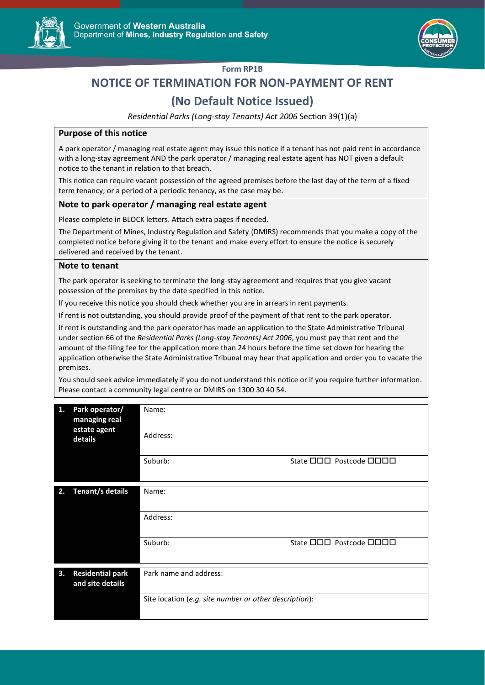



### **Form RP1B**

# **NOTICE OF TERMINATION FOR NON-PAYMENT OF RENT**

## **(No Default Notice Issued)**

*Residential Parks (Long-stay Tenants) Act 2006* Section 39(1)(a)

#### **Purpose of this notice**

A park operator / managing real estate agent may issue this notice if a tenant has not paid rent in accordance with a long-stay agreement AND the park operator / managing real estate agent has NOT given a default notice to the tenant in relation to that breach.

This notice can require vacant possession of the agreed premises before the last day of the term of a fixed term tenancy; or a period of a periodic tenancy, as the case may be.

#### **Note to park operator / managing real estate agent**

Please complete in BLOCK letters. Attach extra pages if needed.

The Department of Mines, Industry Regulation and Safety (DMIRS) recommends that you make a copy of the completed notice before giving it to the tenant and make every effort to ensure the notice is securely delivered and received by the tenant.

#### **Note to tenant**

The park operator is seeking to terminate the long-stay agreement and requires that you give vacant possession of the premises by the date specified in this notice.

If you receive this notice you should check whether you are in arrears in rent payments.

If rent is not outstanding, you should provide proof of the payment of that rent to the park operator.

If rent is outstanding and the park operator has made an application to the State Administrative Tribunal under section 66 of the *Residential Parks (Long-stay Tenants) Act 2006*, you must pay that rent and the amount of the filing fee for the application more than 24 hours before the time set down for hearing the application otherwise the State Administrative Tribunal may hear that application and order you to vacate the premises.

You should seek advice immediately if you do not understand this notice or if you require further information. Please contact a community legal centre or DMIRS on 1300 30 40 54.

| 1. | Park operator/<br>managing real<br>estate agent<br>details | Name:                                                  |                                       |  |
|----|------------------------------------------------------------|--------------------------------------------------------|---------------------------------------|--|
|    |                                                            | Address:                                               |                                       |  |
|    |                                                            | Suburb:                                                | State <b>ODD</b> Postcode <b>ODDD</b> |  |
| 2. | Tenant/s details                                           | Name:                                                  |                                       |  |
|    |                                                            |                                                        |                                       |  |
|    |                                                            | Address:                                               |                                       |  |
|    |                                                            | Suburb:                                                | State <b>ODD</b> Postcode <b>ODD</b>  |  |
| 3. | <b>Residential park</b>                                    | Park name and address:                                 |                                       |  |
|    | and site details                                           |                                                        |                                       |  |
|    |                                                            | Site location (e.g. site number or other description): |                                       |  |